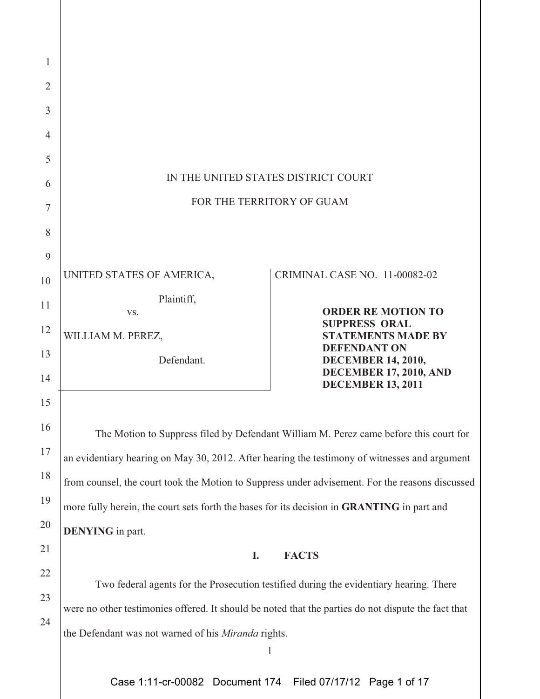| 1              |                                                                                                     |                                                           |
|----------------|-----------------------------------------------------------------------------------------------------|-----------------------------------------------------------|
| $\overline{2}$ |                                                                                                     |                                                           |
| 3              |                                                                                                     |                                                           |
| 4              |                                                                                                     |                                                           |
| 5              |                                                                                                     |                                                           |
| 6              | IN THE UNITED STATES DISTRICT COURT                                                                 |                                                           |
| 7              | FOR THE TERRITORY OF GUAM                                                                           |                                                           |
| 8              |                                                                                                     |                                                           |
| 9              |                                                                                                     |                                                           |
| 10             | UNITED STATES OF AMERICA,                                                                           | CRIMINAL CASE NO. 11-00082-02                             |
| 11             | Plaintiff,<br>VS.                                                                                   | <b>ORDER RE MOTION TO</b>                                 |
| 12             | WILLIAM M. PEREZ,                                                                                   | <b>SUPPRESS ORAL</b><br><b>STATEMENTS MADE BY</b>         |
| 13             | Defendant.                                                                                          | <b>DEFENDANT ON</b><br><b>DECEMBER 14, 2010,</b>          |
| 14             |                                                                                                     | <b>DECEMBER 17, 2010, AND</b><br><b>DECEMBER 13, 2011</b> |
| 15             |                                                                                                     |                                                           |
| 16             | The Motion to Suppress filed by Defendant William M. Perez came before this court for               |                                                           |
| $17\,$         | an evidentiary hearing on May 30, 2012. After hearing the testimony of witnesses and argument       |                                                           |
| 18             | from counsel, the court took the Motion to Suppress under advisement. For the reasons discussed     |                                                           |
| 19             | more fully herein, the court sets forth the bases for its decision in GRANTING in part and          |                                                           |
| 20             | <b>DENYING</b> in part.                                                                             |                                                           |
| 21             | I.                                                                                                  | <b>FACTS</b>                                              |
| 22             | Two federal agents for the Prosecution testified during the evidentiary hearing. There              |                                                           |
| 23             | were no other testimonies offered. It should be noted that the parties do not dispute the fact that |                                                           |
| 24             | the Defendant was not warned of his Miranda rights.                                                 |                                                           |
|                |                                                                                                     | $\mathbf{1}$                                              |
|                |                                                                                                     |                                                           |

Case 1:11-cr-00082 Document 174 Filed 07/17/12 Page 1 of 17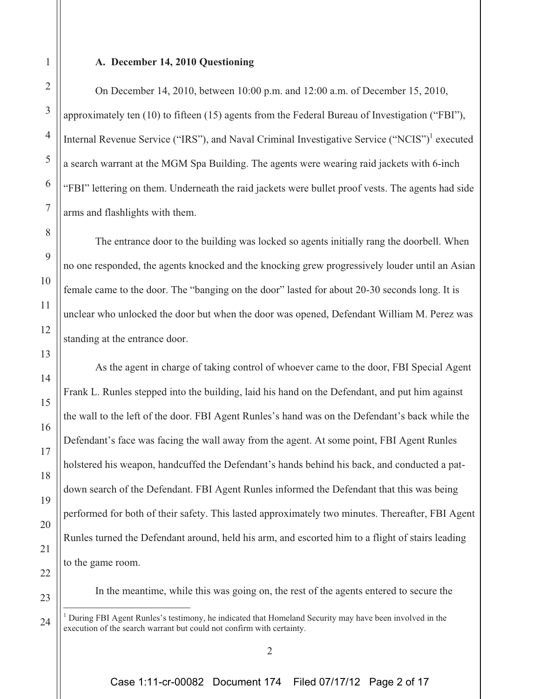#### **A. December 14, 2010 Questioning**

On December 14, 2010, between 10:00 p.m. and 12:00 a.m. of December 15, 2010, approximately ten (10) to fifteen (15) agents from the Federal Bureau of Investigation ("FBI"), Internal Revenue Service ("IRS"), and Naval Criminal Investigative Service ("NCIS")<sup>1</sup> executed a search warrant at the MGM Spa Building. The agents were wearing raid jackets with 6-inch "FBI" lettering on them. Underneath the raid jackets were bullet proof vests. The agents had side arms and flashlights with them.

The entrance door to the building was locked so agents initially rang the doorbell. When no one responded, the agents knocked and the knocking grew progressively louder until an Asian female came to the door. The "banging on the door" lasted for about 20-30 seconds long. It is unclear who unlocked the door but when the door was opened, Defendant William M. Perez was standing at the entrance door.

As the agent in charge of taking control of whoever came to the door, FBI Special Agent Frank L. Runles stepped into the building, laid his hand on the Defendant, and put him against the wall to the left of the door. FBI Agent Runles's hand was on the Defendant's back while the Defendant's face was facing the wall away from the agent. At some point, FBI Agent Runles holstered his weapon, handcuffed the Defendant's hands behind his back, and conducted a patdown search of the Defendant. FBI Agent Runles informed the Defendant that this was being performed for both of their safety. This lasted approximately two minutes. Thereafter, FBI Agent Runles turned the Defendant around, held his arm, and escorted him to a flight of stairs leading to the game room.

In the meantime, while this was going on, the rest of the agents entered to secure the

<sup>&</sup>lt;sup>1</sup> During FBI Agent Runles's testimony, he indicated that Homeland Security may have been involved in the execution of the search warrant but could not confirm with certainty.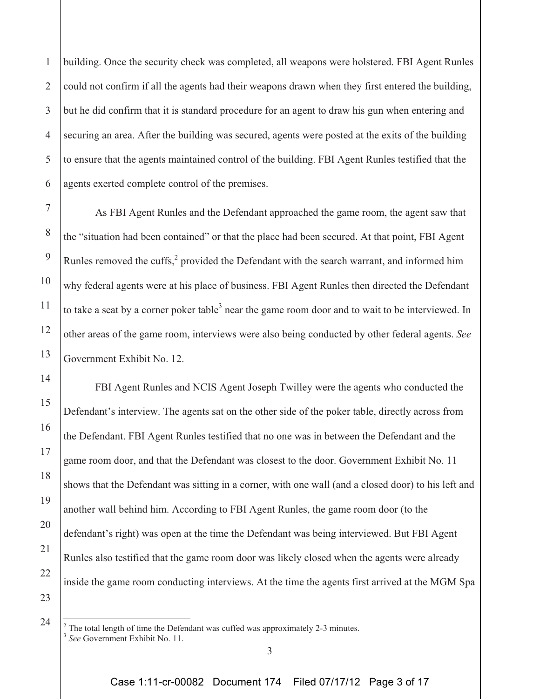1 2 3 4 5 6 building. Once the security check was completed, all weapons were holstered. FBI Agent Runles could not confirm if all the agents had their weapons drawn when they first entered the building, but he did confirm that it is standard procedure for an agent to draw his gun when entering and securing an area. After the building was secured, agents were posted at the exits of the building to ensure that the agents maintained control of the building. FBI Agent Runles testified that the agents exerted complete control of the premises.

7

8

9

10

11

12

13

14

15

16

17

18

19

20

21

22

23

24

As FBI Agent Runles and the Defendant approached the game room, the agent saw that the "situation had been contained" or that the place had been secured. At that point, FBI Agent Runles removed the cuffs, $2$  provided the Defendant with the search warrant, and informed him why federal agents were at his place of business. FBI Agent Runles then directed the Defendant to take a seat by a corner poker table<sup>3</sup> near the game room door and to wait to be interviewed. In other areas of the game room, interviews were also being conducted by other federal agents. *See* Government Exhibit No. 12.

FBI Agent Runles and NCIS Agent Joseph Twilley were the agents who conducted the Defendant's interview. The agents sat on the other side of the poker table, directly across from the Defendant. FBI Agent Runles testified that no one was in between the Defendant and the game room door, and that the Defendant was closest to the door. Government Exhibit No. 11 shows that the Defendant was sitting in a corner, with one wall (and a closed door) to his left and another wall behind him. According to FBI Agent Runles, the game room door (to the defendant's right) was open at the time the Defendant was being interviewed. But FBI Agent Runles also testified that the game room door was likely closed when the agents were already inside the game room conducting interviews. At the time the agents first arrived at the MGM Spa

 $2^2$  The total length of time the Defendant was cuffed was approximately 2-3 minutes. <sup>3</sup> *See* Government Exhibit No. 11.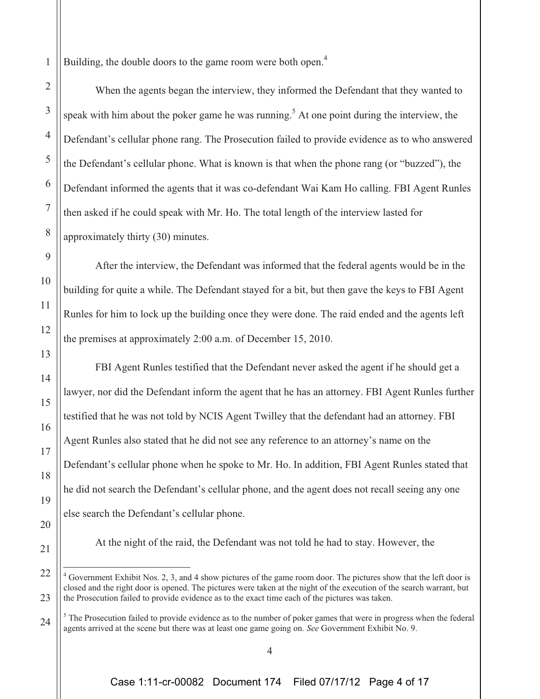Building, the double doors to the game room were both open.<sup>4</sup>

1

2

3

4

5

6

7

8

9

10

11

12

13

14

15

16

17

18

19

20

21

When the agents began the interview, they informed the Defendant that they wanted to speak with him about the poker game he was running.<sup>5</sup> At one point during the interview, the Defendant's cellular phone rang. The Prosecution failed to provide evidence as to who answered the Defendant's cellular phone. What is known is that when the phone rang (or "buzzed"), the Defendant informed the agents that it was co-defendant Wai Kam Ho calling. FBI Agent Runles then asked if he could speak with Mr. Ho. The total length of the interview lasted for approximately thirty (30) minutes.

After the interview, the Defendant was informed that the federal agents would be in the building for quite a while. The Defendant stayed for a bit, but then gave the keys to FBI Agent Runles for him to lock up the building once they were done. The raid ended and the agents left the premises at approximately 2:00 a.m. of December 15, 2010.

FBI Agent Runles testified that the Defendant never asked the agent if he should get a lawyer, nor did the Defendant inform the agent that he has an attorney. FBI Agent Runles further testified that he was not told by NCIS Agent Twilley that the defendant had an attorney. FBI Agent Runles also stated that he did not see any reference to an attorney's name on the Defendant's cellular phone when he spoke to Mr. Ho. In addition, FBI Agent Runles stated that he did not search the Defendant's cellular phone, and the agent does not recall seeing any one else search the Defendant's cellular phone.

At the night of the raid, the Defendant was not told he had to stay. However, the

<sup>22</sup> 23 <sup>4</sup> Government Exhibit Nos. 2, 3, and 4 show pictures of the game room door. The pictures show that the left door is closed and the right door is opened. The pictures were taken at the night of the execution of the search warrant, but the Prosecution failed to provide evidence as to the exact time each of the pictures was taken.

<sup>24</sup>  $<sup>5</sup>$  The Prosecution failed to provide evidence as to the number of poker games that were in progress when the federal</sup> agents arrived at the scene but there was at least one game going on. *See* Government Exhibit No. 9.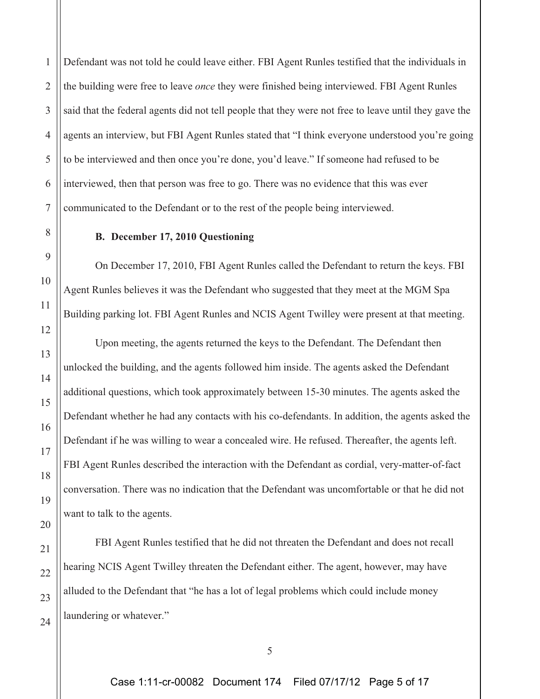1 2 Defendant was not told he could leave either. FBI Agent Runles testified that the individuals in the building were free to leave *once* they were finished being interviewed. FBI Agent Runles said that the federal agents did not tell people that they were not free to leave until they gave the agents an interview, but FBI Agent Runles stated that "I think everyone understood you're going to be interviewed and then once you're done, you'd leave." If someone had refused to be interviewed, then that person was free to go. There was no evidence that this was ever communicated to the Defendant or to the rest of the people being interviewed.

# **B. December 17, 2010 Questioning**

On December 17, 2010, FBI Agent Runles called the Defendant to return the keys. FBI Agent Runles believes it was the Defendant who suggested that they meet at the MGM Spa Building parking lot. FBI Agent Runles and NCIS Agent Twilley were present at that meeting.

Upon meeting, the agents returned the keys to the Defendant. The Defendant then unlocked the building, and the agents followed him inside. The agents asked the Defendant additional questions, which took approximately between 15-30 minutes. The agents asked the Defendant whether he had any contacts with his co-defendants. In addition, the agents asked the Defendant if he was willing to wear a concealed wire. He refused. Thereafter, the agents left. FBI Agent Runles described the interaction with the Defendant as cordial, very-matter-of-fact conversation. There was no indication that the Defendant was uncomfortable or that he did not want to talk to the agents.

FBI Agent Runles testified that he did not threaten the Defendant and does not recall hearing NCIS Agent Twilley threaten the Defendant either. The agent, however, may have alluded to the Defendant that "he has a lot of legal problems which could include money laundering or whatever."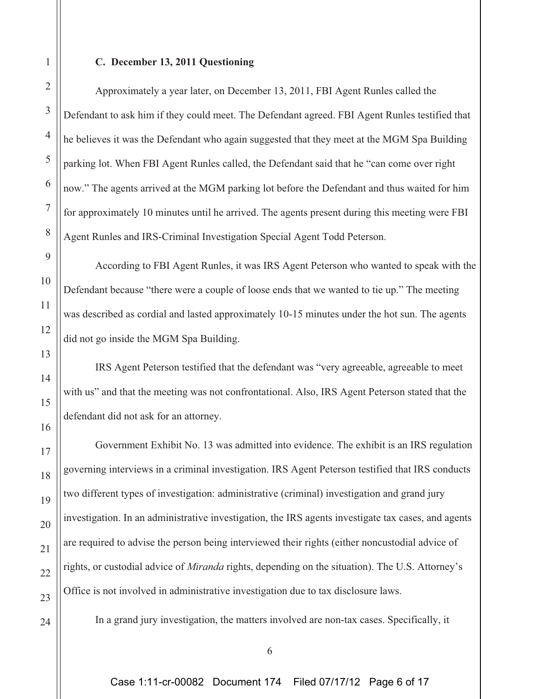Approximately a year later, on December 13, 2011, FBI Agent Runles called the Defendant to ask him if they could meet. The Defendant agreed. FBI Agent Runles testified that he believes it was the Defendant who again suggested that they meet at the MGM Spa Building parking lot. When FBI Agent Runles called, the Defendant said that he "can come over right now." The agents arrived at the MGM parking lot before the Defendant and thus waited for him for approximately 10 minutes until he arrived. The agents present during this meeting were FBI Agent Runles and IRS-Criminal Investigation Special Agent Todd Peterson.

According to FBI Agent Runles, it was IRS Agent Peterson who wanted to speak with the Defendant because "there were a couple of loose ends that we wanted to tie up." The meeting was described as cordial and lasted approximately 10-15 minutes under the hot sun. The agents did not go inside the MGM Spa Building.

IRS Agent Peterson testified that the defendant was "very agreeable, agreeable to meet with us" and that the meeting was not confrontational. Also, IRS Agent Peterson stated that the defendant did not ask for an attorney.

Government Exhibit No. 13 was admitted into evidence. The exhibit is an IRS regulation governing interviews in a criminal investigation. IRS Agent Peterson testified that IRS conducts two different types of investigation: administrative (criminal) investigation and grand jury investigation. In an administrative investigation, the IRS agents investigate tax cases, and agents are required to advise the person being interviewed their rights (either noncustodial advice of rights, or custodial advice of *Miranda* rights, depending on the situation). The U.S. Attorney's Office is not involved in administrative investigation due to tax disclosure laws.

In a grand jury investigation, the matters involved are non-tax cases. Specifically, it

24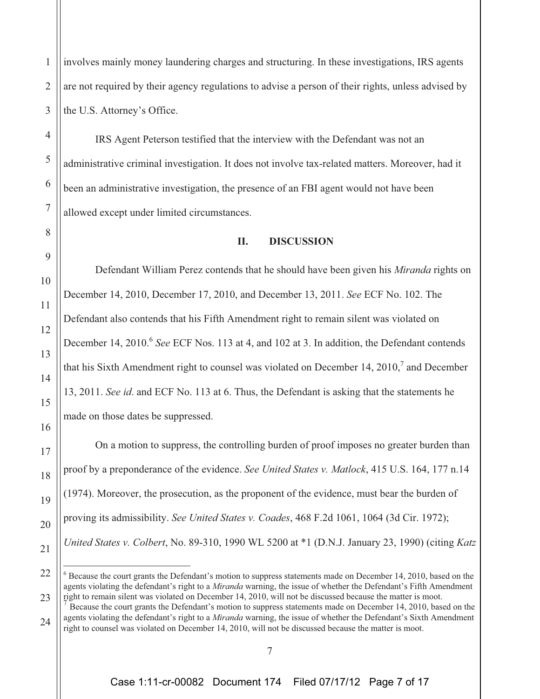involves mainly money laundering charges and structuring. In these investigations, IRS agents are not required by their agency regulations to advise a person of their rights, unless advised by the U.S. Attorney's Office.

IRS Agent Peterson testified that the interview with the Defendant was not an administrative criminal investigation. It does not involve tax-related matters. Moreover, had it been an administrative investigation, the presence of an FBI agent would not have been allowed except under limited circumstances.

### **II. DISCUSSION**

Defendant William Perez contends that he should have been given his *Miranda* rights on December 14, 2010, December 17, 2010, and December 13, 2011. *See* ECF No. 102. The Defendant also contends that his Fifth Amendment right to remain silent was violated on December 14, 2010.<sup>6</sup> See ECF Nos. 113 at 4, and 102 at 3. In addition, the Defendant contends that his Sixth Amendment right to counsel was violated on December 14, 2010, $\frac{7}{3}$  and December 13, 2011. *See id*. and ECF No. 113 at 6. Thus, the Defendant is asking that the statements he made on those dates be suppressed.

On a motion to suppress, the controlling burden of proof imposes no greater burden than proof by a preponderance of the evidence. *See United States v. Matlock*, 415 U.S. 164, 177 n.14 (1974). Moreover, the prosecution, as the proponent of the evidence, must bear the burden of proving its admissibility. *See United States v. Coades*, 468 F.2d 1061, 1064 (3d Cir. 1972); *United States v. Colbert*, No. 89-310, 1990 WL 5200 at \*1 (D.N.J. January 23, 1990) (citing *Katz*

1

 $6$  Because the court grants the Defendant's motion to suppress statements made on December 14, 2010, based on the agents violating the defendant's right to a *Miranda* warning, the issue of whether the Defendant's Fifth Amendment right to remain silent was violated on December 14, 2010, will not be discussed because the matter is moot.

<sup>7</sup> Because the court grants the Defendant's motion to suppress statements made on December 14, 2010, based on the agents violating the defendant's right to a *Miranda* warning, the issue of whether the Defendant's Sixth Amendment right to counsel was violated on December 14, 2010, will not be discussed because the matter is moot.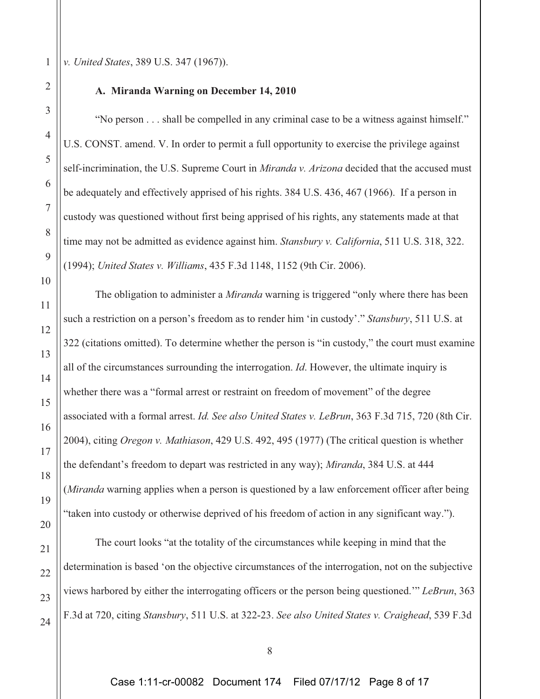*v. United States*, 389 U.S. 347 (1967)).

#### **A. Miranda Warning on December 14, 2010**

"No person . . . shall be compelled in any criminal case to be a witness against himself." U.S. CONST. amend. V. In order to permit a full opportunity to exercise the privilege against self-incrimination, the U.S. Supreme Court in *Miranda v. Arizona* decided that the accused must be adequately and effectively apprised of his rights. 384 U.S. 436, 467 (1966). If a person in custody was questioned without first being apprised of his rights, any statements made at that time may not be admitted as evidence against him. *Stansbury v. California*, 511 U.S. 318, 322. (1994); *United States v. Williams*, 435 F.3d 1148, 1152 (9th Cir. 2006).

The obligation to administer a *Miranda* warning is triggered "only where there has been such a restriction on a person's freedom as to render him 'in custody'." *Stansbury*, 511 U.S. at 322 (citations omitted). To determine whether the person is "in custody," the court must examine all of the circumstances surrounding the interrogation. *Id*. However, the ultimate inquiry is whether there was a "formal arrest or restraint on freedom of movement" of the degree associated with a formal arrest. *Id. See also United States v. LeBrun*, 363 F.3d 715, 720 (8th Cir. 2004), citing *Oregon v. Mathiason*, 429 U.S. 492, 495 (1977) (The critical question is whether the defendant's freedom to depart was restricted in any way); *Miranda*, 384 U.S. at 444 (*Miranda* warning applies when a person is questioned by a law enforcement officer after being "taken into custody or otherwise deprived of his freedom of action in any significant way.").

The court looks "at the totality of the circumstances while keeping in mind that the determination is based 'on the objective circumstances of the interrogation, not on the subjective views harbored by either the interrogating officers or the person being questioned.'" *LeBrun*, 363 F.3d at 720, citing *Stansbury*, 511 U.S. at 322-23. *See also United States v. Craighead*, 539 F.3d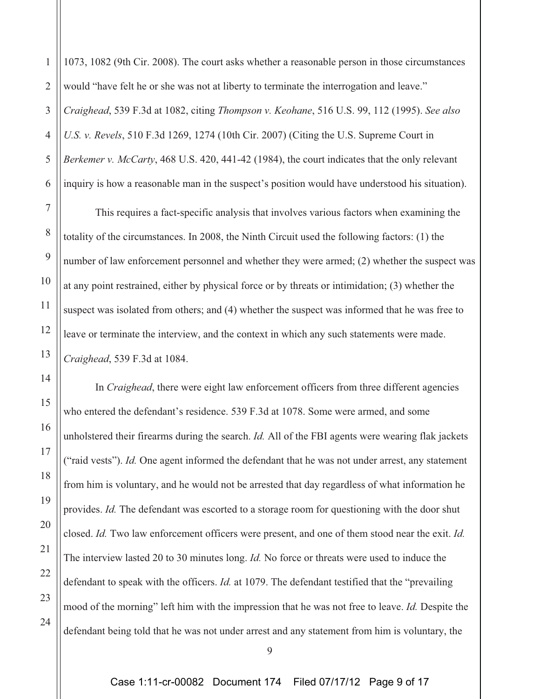4 6 1073, 1082 (9th Cir. 2008). The court asks whether a reasonable person in those circumstances would "have felt he or she was not at liberty to terminate the interrogation and leave." *Craighead*, 539 F.3d at 1082, citing *Thompson v. Keohane*, 516 U.S. 99, 112 (1995). *See also U.S. v. Revels*, 510 F.3d 1269, 1274 (10th Cir. 2007) (Citing the U.S. Supreme Court in *Berkemer v. McCarty*, 468 U.S. 420, 441-42 (1984), the court indicates that the only relevant inquiry is how a reasonable man in the suspect's position would have understood his situation).

1

2

3

5

7

8

9

10

11

12

13

14

15

16

17

18

19

20

21

22

23

24

This requires a fact-specific analysis that involves various factors when examining the totality of the circumstances. In 2008, the Ninth Circuit used the following factors: (1) the number of law enforcement personnel and whether they were armed; (2) whether the suspect was at any point restrained, either by physical force or by threats or intimidation; (3) whether the suspect was isolated from others; and (4) whether the suspect was informed that he was free to leave or terminate the interview, and the context in which any such statements were made. *Craighead*, 539 F.3d at 1084.

In *Craighead*, there were eight law enforcement officers from three different agencies who entered the defendant's residence. 539 F.3d at 1078. Some were armed, and some unholstered their firearms during the search. *Id.* All of the FBI agents were wearing flak jackets ("raid vests"). *Id.* One agent informed the defendant that he was not under arrest, any statement from him is voluntary, and he would not be arrested that day regardless of what information he provides. *Id.* The defendant was escorted to a storage room for questioning with the door shut closed. *Id.* Two law enforcement officers were present, and one of them stood near the exit. *Id.* The interview lasted 20 to 30 minutes long. *Id.* No force or threats were used to induce the defendant to speak with the officers. *Id.* at 1079. The defendant testified that the "prevailing mood of the morning" left him with the impression that he was not free to leave. *Id.* Despite the defendant being told that he was not under arrest and any statement from him is voluntary, the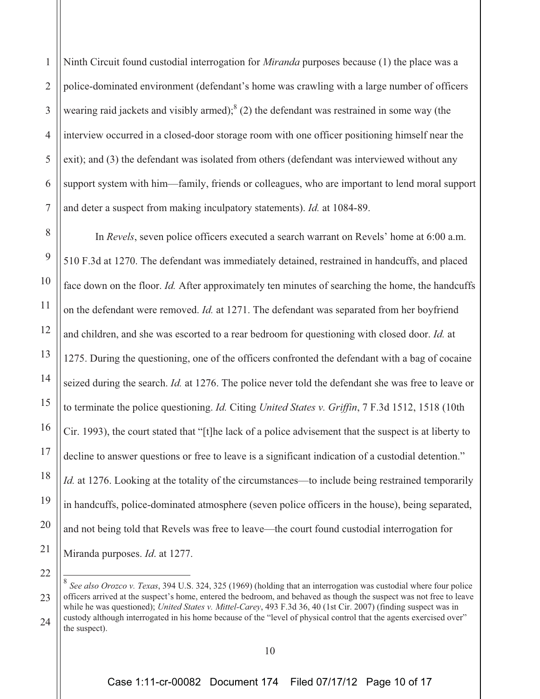1 2 3 4 5 6 7 Ninth Circuit found custodial interrogation for *Miranda* purposes because (1) the place was a police-dominated environment (defendant's home was crawling with a large number of officers wearing raid jackets and visibly armed); $^{8}$  (2) the defendant was restrained in some way (the interview occurred in a closed-door storage room with one officer positioning himself near the exit); and (3) the defendant was isolated from others (defendant was interviewed without any support system with him—family, friends or colleagues, who are important to lend moral support and deter a suspect from making inculpatory statements). *Id.* at 1084-89.

8

9

10

11

12

13

14

15

16

17

18

19

20

21

22

In *Revels*, seven police officers executed a search warrant on Revels' home at 6:00 a.m. 510 F.3d at 1270. The defendant was immediately detained, restrained in handcuffs, and placed face down on the floor. *Id.* After approximately ten minutes of searching the home, the handcuffs on the defendant were removed. *Id.* at 1271. The defendant was separated from her boyfriend and children, and she was escorted to a rear bedroom for questioning with closed door. *Id.* at 1275. During the questioning, one of the officers confronted the defendant with a bag of cocaine seized during the search. *Id.* at 1276. The police never told the defendant she was free to leave or to terminate the police questioning. *Id.* Citing *United States v. Griffin*, 7 F.3d 1512, 1518 (10th Cir. 1993), the court stated that "[t]he lack of a police advisement that the suspect is at liberty to decline to answer questions or free to leave is a significant indication of a custodial detention." *Id.* at 1276. Looking at the totality of the circumstances—to include being restrained temporarily in handcuffs, police-dominated atmosphere (seven police officers in the house), being separated, and not being told that Revels was free to leave—the court found custodial interrogation for Miranda purposes. *Id*. at 1277.

<sup>23</sup> 24 <sup>8</sup> *See also Orozco v. Texas*, 394 U.S. 324, 325 (1969) (holding that an interrogation was custodial where four police officers arrived at the suspect's home, entered the bedroom, and behaved as though the suspect was not free to leave while he was questioned); *United States v. Mittel-Carey*, 493 F.3d 36, 40 (1st Cir. 2007) (finding suspect was in custody although interrogated in his home because of the "level of physical control that the agents exercised over" the suspect).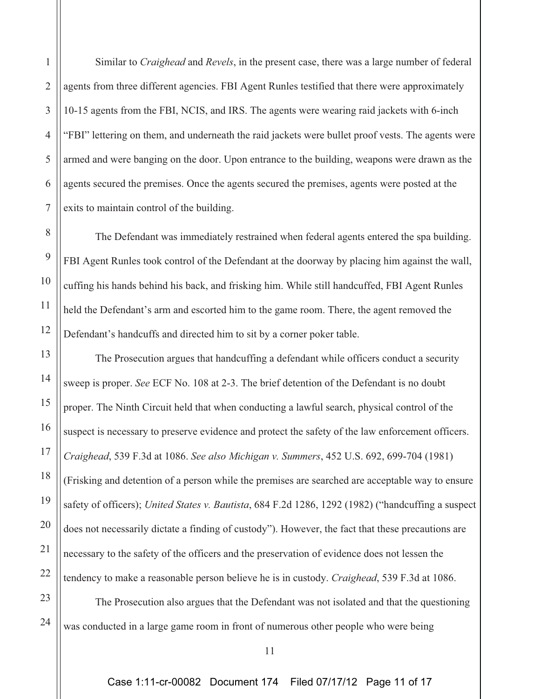Similar to *Craighead* and *Revels*, in the present case, there was a large number of federal agents from three different agencies. FBI Agent Runles testified that there were approximately 10-15 agents from the FBI, NCIS, and IRS. The agents were wearing raid jackets with 6-inch "FBI" lettering on them, and underneath the raid jackets were bullet proof vests. The agents were armed and were banging on the door. Upon entrance to the building, weapons were drawn as the agents secured the premises. Once the agents secured the premises, agents were posted at the exits to maintain control of the building.

The Defendant was immediately restrained when federal agents entered the spa building. FBI Agent Runles took control of the Defendant at the doorway by placing him against the wall, cuffing his hands behind his back, and frisking him. While still handcuffed, FBI Agent Runles held the Defendant's arm and escorted him to the game room. There, the agent removed the Defendant's handcuffs and directed him to sit by a corner poker table.

The Prosecution argues that handcuffing a defendant while officers conduct a security sweep is proper. *See* ECF No. 108 at 2-3. The brief detention of the Defendant is no doubt proper. The Ninth Circuit held that when conducting a lawful search, physical control of the suspect is necessary to preserve evidence and protect the safety of the law enforcement officers. *Craighead*, 539 F.3d at 1086. *See also Michigan v. Summers*, 452 U.S. 692, 699-704 (1981) (Frisking and detention of a person while the premises are searched are acceptable way to ensure safety of officers); *United States v. Bautista*, 684 F.2d 1286, 1292 (1982) ("handcuffing a suspect does not necessarily dictate a finding of custody"). However, the fact that these precautions are necessary to the safety of the officers and the preservation of evidence does not lessen the tendency to make a reasonable person believe he is in custody. *Craighead*, 539 F.3d at 1086.

The Prosecution also argues that the Defendant was not isolated and that the questioning was conducted in a large game room in front of numerous other people who were being

1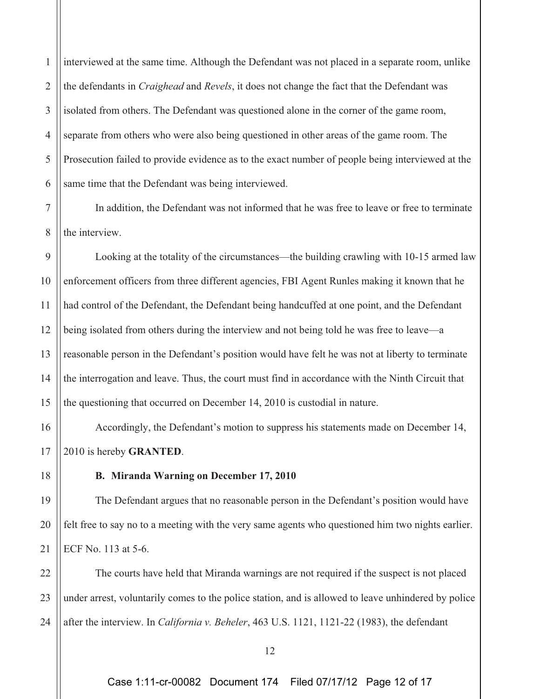1 2 3 4 5 6 interviewed at the same time. Although the Defendant was not placed in a separate room, unlike the defendants in *Craighead* and *Revels*, it does not change the fact that the Defendant was isolated from others. The Defendant was questioned alone in the corner of the game room, separate from others who were also being questioned in other areas of the game room. The Prosecution failed to provide evidence as to the exact number of people being interviewed at the same time that the Defendant was being interviewed.

7 8 In addition, the Defendant was not informed that he was free to leave or free to terminate the interview.

9 10 11 12 13 14 15 Looking at the totality of the circumstances—the building crawling with 10-15 armed law enforcement officers from three different agencies, FBI Agent Runles making it known that he had control of the Defendant, the Defendant being handcuffed at one point, and the Defendant being isolated from others during the interview and not being told he was free to leave—a reasonable person in the Defendant's position would have felt he was not at liberty to terminate the interrogation and leave. Thus, the court must find in accordance with the Ninth Circuit that the questioning that occurred on December 14, 2010 is custodial in nature.

16 17 Accordingly, the Defendant's motion to suppress his statements made on December 14, 2010 is hereby **GRANTED**.

**B. Miranda Warning on December 17, 2010** 

18

19

20

21

The Defendant argues that no reasonable person in the Defendant's position would have felt free to say no to a meeting with the very same agents who questioned him two nights earlier. ECF No. 113 at 5-6.

22 23 24 The courts have held that Miranda warnings are not required if the suspect is not placed under arrest, voluntarily comes to the police station, and is allowed to leave unhindered by police after the interview. In *California v. Beheler*, 463 U.S. 1121, 1121-22 (1983), the defendant

Case 1:11-cr-00082 Document 174 Filed 07/17/12 Page 12 of 17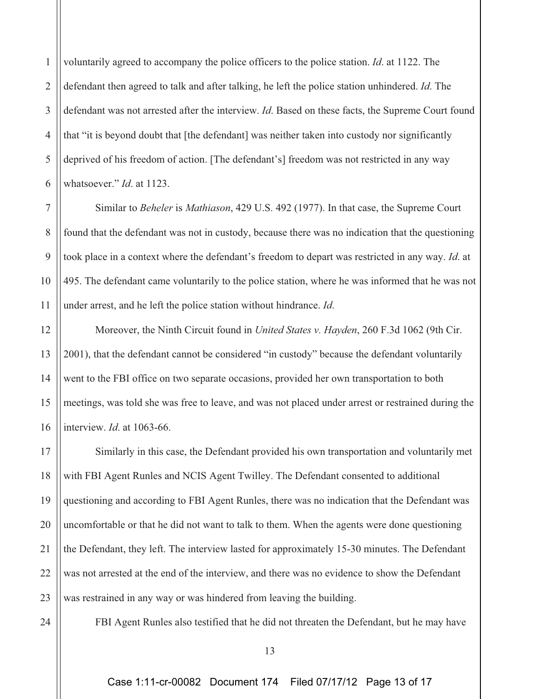2 3 4 5 6 voluntarily agreed to accompany the police officers to the police station. *Id*. at 1122. The defendant then agreed to talk and after talking, he left the police station unhindered. *Id*. The defendant was not arrested after the interview. *Id*. Based on these facts, the Supreme Court found that "it is beyond doubt that [the defendant] was neither taken into custody nor significantly deprived of his freedom of action. [The defendant's] freedom was not restricted in any way whatsoever." *Id*. at 1123.

Similar to *Beheler* is *Mathiason*, 429 U.S. 492 (1977). In that case, the Supreme Court found that the defendant was not in custody, because there was no indication that the questioning took place in a context where the defendant's freedom to depart was restricted in any way. *Id*. at 495. The defendant came voluntarily to the police station, where he was informed that he was not under arrest, and he left the police station without hindrance. *Id*.

Moreover, the Ninth Circuit found in *United States v. Hayden*, 260 F.3d 1062 (9th Cir. 2001), that the defendant cannot be considered "in custody" because the defendant voluntarily went to the FBI office on two separate occasions, provided her own transportation to both meetings, was told she was free to leave, and was not placed under arrest or restrained during the interview. *Id*. at 1063-66.

17 18 19 20 21 22 23 Similarly in this case, the Defendant provided his own transportation and voluntarily met with FBI Agent Runles and NCIS Agent Twilley. The Defendant consented to additional questioning and according to FBI Agent Runles, there was no indication that the Defendant was uncomfortable or that he did not want to talk to them. When the agents were done questioning the Defendant, they left. The interview lasted for approximately 15-30 minutes. The Defendant was not arrested at the end of the interview, and there was no evidence to show the Defendant was restrained in any way or was hindered from leaving the building.

24

1

7

8

9

10

11

12

13

14

15

16

FBI Agent Runles also testified that he did not threaten the Defendant, but he may have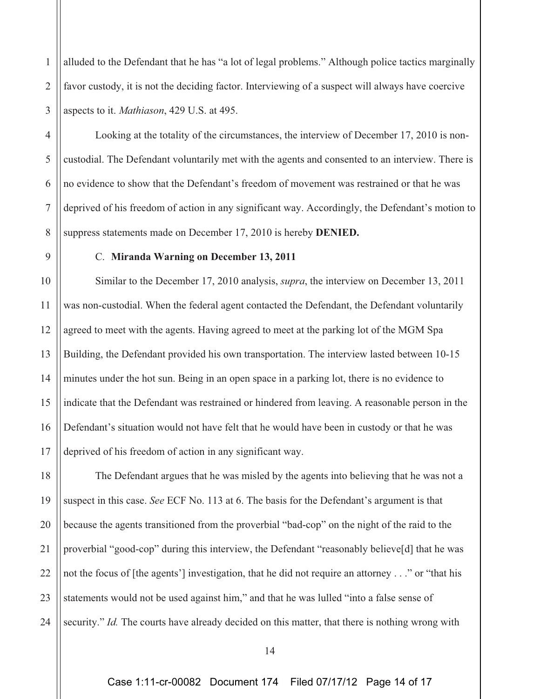1 2 3 alluded to the Defendant that he has "a lot of legal problems." Although police tactics marginally favor custody, it is not the deciding factor. Interviewing of a suspect will always have coercive aspects to it. *Mathiason*, 429 U.S. at 495.

Looking at the totality of the circumstances, the interview of December 17, 2010 is noncustodial. The Defendant voluntarily met with the agents and consented to an interview. There is no evidence to show that the Defendant's freedom of movement was restrained or that he was deprived of his freedom of action in any significant way. Accordingly, the Defendant's motion to suppress statements made on December 17, 2010 is hereby **DENIED.**

4

5

6

7

8

9

## C. **Miranda Warning on December 13, 2011**

10 11 12 13 14 15 16 17 Similar to the December 17, 2010 analysis, *supra*, the interview on December 13, 2011 was non-custodial. When the federal agent contacted the Defendant, the Defendant voluntarily agreed to meet with the agents. Having agreed to meet at the parking lot of the MGM Spa Building, the Defendant provided his own transportation. The interview lasted between 10-15 minutes under the hot sun. Being in an open space in a parking lot, there is no evidence to indicate that the Defendant was restrained or hindered from leaving. A reasonable person in the Defendant's situation would not have felt that he would have been in custody or that he was deprived of his freedom of action in any significant way.

18 19 20 21 22 23 24 The Defendant argues that he was misled by the agents into believing that he was not a suspect in this case. *See* ECF No. 113 at 6. The basis for the Defendant's argument is that because the agents transitioned from the proverbial "bad-cop" on the night of the raid to the proverbial "good-cop" during this interview, the Defendant "reasonably believe[d] that he was not the focus of [the agents'] investigation, that he did not require an attorney . . ." or "that his statements would not be used against him," and that he was lulled "into a false sense of security." *Id.* The courts have already decided on this matter, that there is nothing wrong with

<sup>14</sup>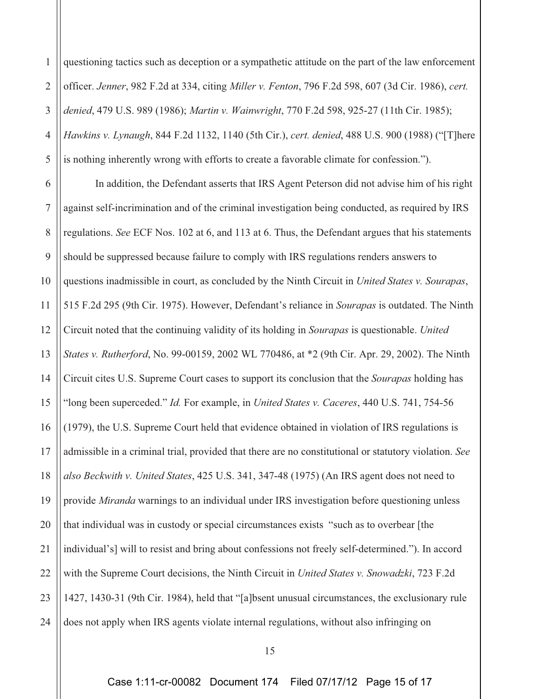1 2 3 4 5 6 7 8 9 10 11 12 13 14 15 16 17 18 19 20 21 22 23 24 questioning tactics such as deception or a sympathetic attitude on the part of the law enforcement officer. *Jenner*, 982 F.2d at 334, citing *Miller v. Fenton*, 796 F.2d 598, 607 (3d Cir. 1986), *cert. denied*, 479 U.S. 989 (1986); *Martin v. Wainwright*, 770 F.2d 598, 925-27 (11th Cir. 1985); *Hawkins v. Lynaugh*, 844 F.2d 1132, 1140 (5th Cir.), *cert. denied*, 488 U.S. 900 (1988) ("[T]here is nothing inherently wrong with efforts to create a favorable climate for confession."). In addition, the Defendant asserts that IRS Agent Peterson did not advise him of his right against self-incrimination and of the criminal investigation being conducted, as required by IRS regulations. *See* ECF Nos. 102 at 6, and 113 at 6. Thus, the Defendant argues that his statements should be suppressed because failure to comply with IRS regulations renders answers to questions inadmissible in court, as concluded by the Ninth Circuit in *United States v. Sourapas*, 515 F.2d 295 (9th Cir. 1975). However, Defendant's reliance in *Sourapas* is outdated. The Ninth Circuit noted that the continuing validity of its holding in *Sourapas* is questionable. *United States v. Rutherford*, No. 99-00159, 2002 WL 770486, at \*2 (9th Cir. Apr. 29, 2002). The Ninth Circuit cites U.S. Supreme Court cases to support its conclusion that the *Sourapas* holding has "long been superceded." *Id.* For example, in *United States v. Caceres*, 440 U.S. 741, 754-56 (1979), the U.S. Supreme Court held that evidence obtained in violation of IRS regulations is admissible in a criminal trial, provided that there are no constitutional or statutory violation. *See also Beckwith v. United States*, 425 U.S. 341, 347-48 (1975) (An IRS agent does not need to provide *Miranda* warnings to an individual under IRS investigation before questioning unless that individual was in custody or special circumstances exists "such as to overbear [the individual's] will to resist and bring about confessions not freely self-determined."). In accord with the Supreme Court decisions, the Ninth Circuit in *United States v. Snowadzki*, 723 F.2d 1427, 1430-31 (9th Cir. 1984), held that "[a]bsent unusual circumstances, the exclusionary rule does not apply when IRS agents violate internal regulations, without also infringing on

Case 1:11-cr-00082 Document 174 Filed 07/17/12 Page 15 of 17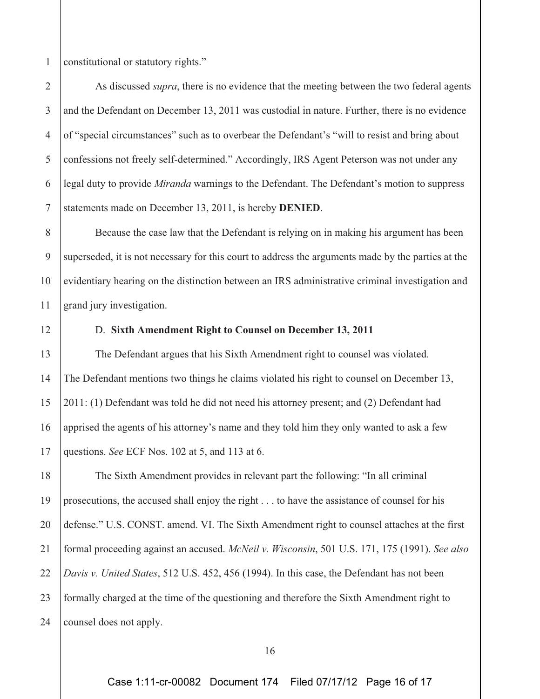1 constitutional or statutory rights."

As discussed *supra*, there is no evidence that the meeting between the two federal agents and the Defendant on December 13, 2011 was custodial in nature. Further, there is no evidence of "special circumstances" such as to overbear the Defendant's "will to resist and bring about confessions not freely self-determined." Accordingly, IRS Agent Peterson was not under any legal duty to provide *Miranda* warnings to the Defendant. The Defendant's motion to suppress statements made on December 13, 2011, is hereby **DENIED**.

Because the case law that the Defendant is relying on in making his argument has been superseded, it is not necessary for this court to address the arguments made by the parties at the evidentiary hearing on the distinction between an IRS administrative criminal investigation and grand jury investigation.

2

3

4

5

6

7

8

9

10

11

12

13

14

15

16

17

# D. **Sixth Amendment Right to Counsel on December 13, 2011**

The Defendant argues that his Sixth Amendment right to counsel was violated. The Defendant mentions two things he claims violated his right to counsel on December 13, 2011: (1) Defendant was told he did not need his attorney present; and (2) Defendant had apprised the agents of his attorney's name and they told him they only wanted to ask a few questions. *See* ECF Nos. 102 at 5, and 113 at 6.

18 19 20 21 22 23 24 The Sixth Amendment provides in relevant part the following: "In all criminal prosecutions, the accused shall enjoy the right . . . to have the assistance of counsel for his defense." U.S. CONST. amend. VI. The Sixth Amendment right to counsel attaches at the first formal proceeding against an accused. *McNeil v. Wisconsin*, 501 U.S. 171, 175 (1991). *See also Davis v. United States*, 512 U.S. 452, 456 (1994). In this case, the Defendant has not been formally charged at the time of the questioning and therefore the Sixth Amendment right to counsel does not apply.